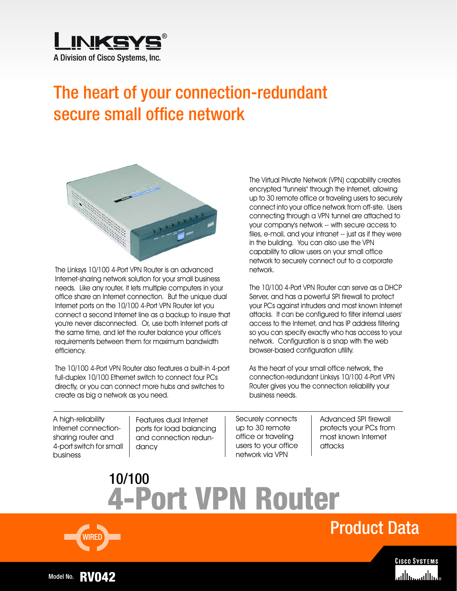

# The heart of your connection-redundant secure small office network



The Linksys 10/100 4-Port VPN Router is an advanced Internet-sharing network solution for your small business needs. Like any router, it lets multiple computers in your office share an Internet connection. But the unique dual Internet ports on the 10/100 4-Port VPN Router let you connect a second Internet line as a backup to insure that you're never disconnected. Or, use both Internet ports at the same time, and let the router balance your office's requirements between them for maximum bandwidth efficiency.

The 10/100 4-Port VPN Router also features a built-in 4-port full-duplex 10/100 Ethernet switch to connect four PCs directly, or you can connect more hubs and switches to create as big a network as you need.

The Virtual Private Network (VPN) capability creates encrypted "tunnels" through the Internet, allowing up to 30 remote office or traveling users to securely connect into your office network from off-site. Users connecting through a VPN tunnel are attached to your company's network -- with secure access to files, e-mail, and your intranet -- just as if they were in the building. You can also use the VPN capability to allow users on your small office network to securely connect out to a corporate network.

The 10/100 4-Port VPN Router can serve as a DHCP Server, and has a powerful SPI firewall to protect your PCs against intruders and most known Internet attacks. It can be configured to filter internal users' access to the Internet, and has IP address filtering so you can specify exactly who has access to your network. Configuration is a snap with the web browser-based configuration utility.

As the heart of your small office network, the connection-redundant Linksys 10/100 4-Port VPN Router gives you the connection reliability your business needs.

A high-reliability Internet connectionsharing router and 4-port switch for small business

Features dual Internet ports for load balancing and connection redundancy

Securely connects up to 30 remote office or traveling users to your office network via VPN

Advanced SPI firewall protects your PCs from most known Internet attacks

**4-Port VPN Router** 10/100



Product Data